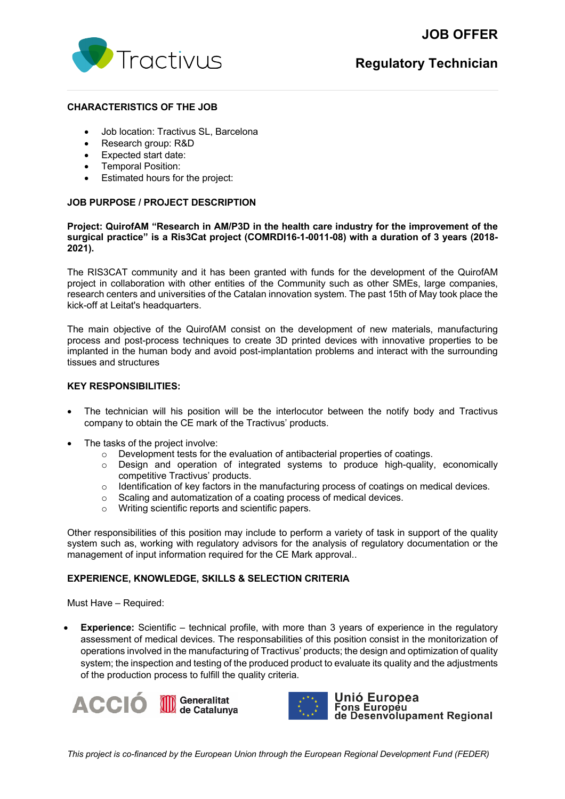# **JOB OFFER**



# **CHARACTERISTICS OF THE JOB**

- Job location: Tractivus SL, Barcelona
- Research group: R&D
- Expected start date:
- Temporal Position:
- Estimated hours for the project:

# **JOB PURPOSE / PROJECT DESCRIPTION**

#### **Project: QuirofAM "Research in AM/P3D in the health care industry for the improvement of the surgical practice" is a Ris3Cat project (COMRDI16-1-0011-08) with a duration of 3 years (2018- 2021).**

The RIS3CAT community and it has been granted with funds for the development of the QuirofAM project in collaboration with other entities of the Community such as other SMEs, large companies, research centers and universities of the Catalan innovation system. The past 15th of May took place the kick-off at Leitat's headquarters.

The main objective of the QuirofAM consist on the development of new materials, manufacturing process and post-process techniques to create 3D printed devices with innovative properties to be implanted in the human body and avoid post-implantation problems and interact with the surrounding tissues and structures

# **KEY RESPONSIBILITIES:**

- The technician will his position will be the interlocutor between the notify body and Tractivus company to obtain the CE mark of the Tractivus' products.
- The tasks of the project involve:
	- o Development tests for the evaluation of antibacterial properties of coatings.
	- o Design and operation of integrated systems to produce high-quality, economically competitive Tractivus' products.
	- $\circ$  Identification of key factors in the manufacturing process of coatings on medical devices.
	- o Scaling and automatization of a coating process of medical devices.
	- Writing scientific reports and scientific papers.

Other responsibilities of this position may include to perform a variety of task in support of the quality system such as, working with regulatory advisors for the analysis of regulatory documentation or the management of input information required for the CE Mark approval..

# **EXPERIENCE, KNOWLEDGE, SKILLS & SELECTION CRITERIA**

Must Have – Required:

**Experience:** Scientific – technical profile, with more than 3 years of experience in the regulatory assessment of medical devices. The responsabilities of this position consist in the monitorization of operations involved in the manufacturing of Tractivus' products; the design and optimization of quality system; the inspection and testing of the produced product to evaluate its quality and the adjustments of the production process to fulfill the quality criteria.





Unió Europea Fons Europeu<br>Tons Europeu<br>de Desenvolupament Regional